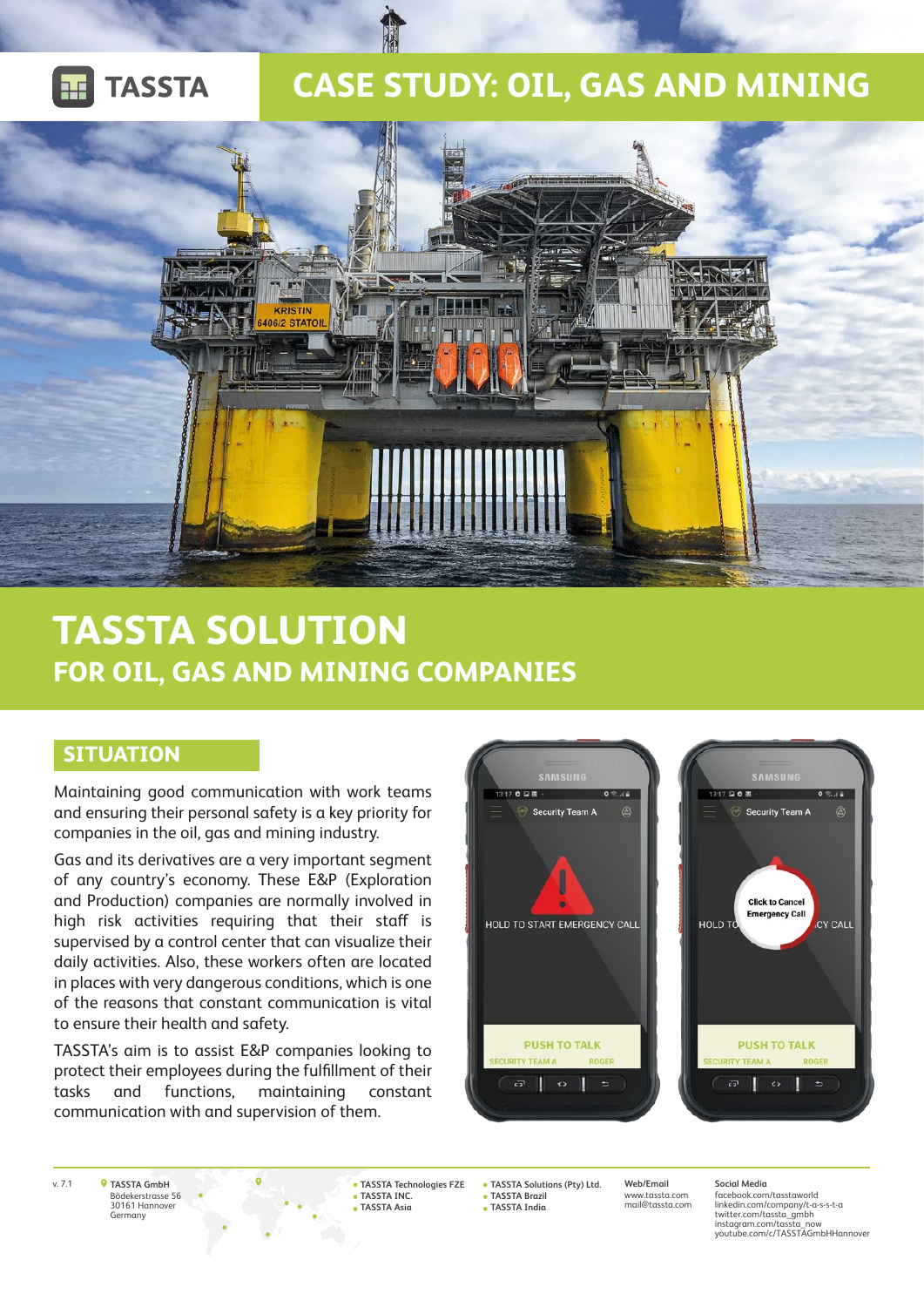

## **CASE STUDY: OIL, GAS AND MINING**



# **TASSTA SOLUTION FOR OIL, GAS AND MINING COMPANIES**

#### **SITUATION**

Maintaining good communication with work teams and ensuring their personal safety is a key priority for companies in the oil, gas and mining industry.

Gas and its derivatives are a very important segment of any country's economy. These E&P (Exploration and Production) companies are normally involved in high risk activities requiring that their staff is supervised by a control center that can visualize their daily activities. Also, these workers often are located in places with very dangerous conditions, which is one of the reasons that constant communication is vital to ensure their health and safety.

TASSTA's aim is to assist E&P companies looking to protect their employees during the fulfillment of their tasks and functions, maintaining constant communication with and supervision of them.





**TASSTA GmbH** Bödekerstrasse 56 30161 Hannover Germany

v. 7.1 **Web/Email TASSTA Solutions (Pty) Ltd. TASSTA Technologies FZE TASSTA INC. TASSTA Asia**

**TASSTA Brazil TASSTA India**

www.tassta.com **Social Media**

mail@tassta.com

facebook.com/tasstaworld linkedin.com/company/t-a-s-s-t-a twitter.com/tassta\_gmbh instagram.com/tassta\_now youtube.com/c/TASSTAGmbHHannover